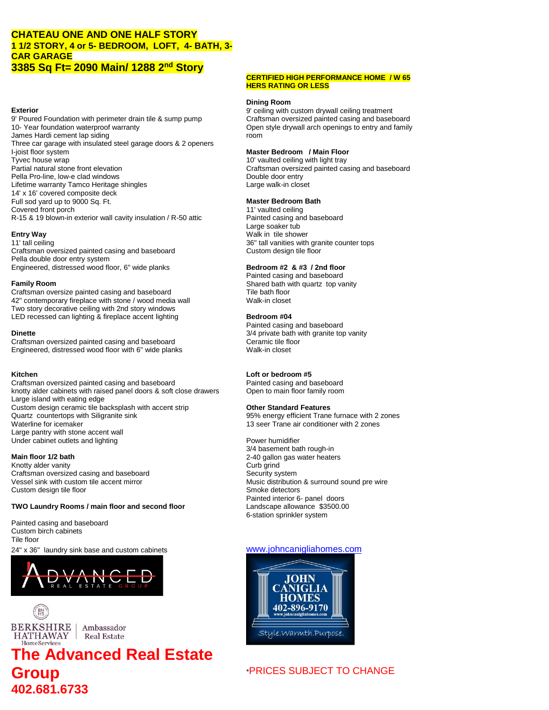## **CHATEAU ONE AND ONE HALF STORY 1 1/2 STORY, 4 or 5- BEDROOM, LOFT, 4- BATH, 3- CAR GARAGE 3385 Sq Ft= 2090 Main/ 1288 2nd Story**

9' Poured Foundation with perimeter drain tile & sump pump 10- Year foundation waterproof warranty James Hardi cement lap siding Three car garage with insulated steel garage doors & 2 openers I-joist floor system **Master Bedroom / Main Floor** Tyvec house wrap 10<sup>'</sup> vaulted ceiling with light tray Partial natural stone front elevation Craftsman oversized painted casing and baseboard Pella Pro-line, low-e clad windows example to the problem of the Double door entry Lifetime warranty Tamco Heritage shingles Large walk-in closet 14' x 16' covered composite deck Full sod yard up to 9000 Sq. Ft. **Master Bedroom Bath** Covered front porch 11' vaulted ceiling R-15 & 19 blown-in exterior wall cavity insulation / R-50 attic Painted casing and baseboard

11' tall ceiling 36" tall vanities with granite counter tops Craftsman oversized painted casing and baseboard Custom design tile floor Pella double door entry system Engineered, distressed wood floor, 6" wide planks **Bedroom #2 & #3 / 2nd floor**

Craftsman oversize painted casing and baseboard Tile bath floor<br>42" contemporary fireplace with stone / wood media wall Walk-in closet 42" contemporary fireplace with stone / wood media wall Two story decorative ceiling with 2nd story windows LED recessed can lighting & fireplace accent lighting **Bedroom #04 Bedroom #04** 

Craftsman oversized painted casing and baseboard Ceramic tile floor Engineered, distressed wood floor with 6" wide planks Walk-in closet

Craftsman oversized painted casing and baseboard Painted casing and baseboard knotty alder cabinets with raised panel doors & soft close drawers Open to main floor family room Large island with eating edge Custom design ceramic tile backsplash with accent strip **Other Standard Features** Quartz countertops with Siligranite sink energy efficient Trane furnace with 2 zones<br>
Waterline for icemaker<br>
Waterline for icemaker Large pantry with stone accent wall Under cabinet outlets and lighting **Power humidifier** Power humidifier

Knotty alder vanity **Curb grind** Craftsman oversized casing and baseboard<br>
Vessel sink with custom tile accent mirror<br>
Vessel sink with custom tile accent mirror Custom design tile floor example of the state of the Smoke detectors of the Smoke detectors of the Smoke detectors

### **TWO Laundry Rooms / main floor and second floor** Landscape allowance \$3500.00

Painted casing and baseboard Custom birch cabinets Tile floor





## **The Advanced Real Estate Group**  $\rightarrow$  PRICES SUBJECT TO CHANGE **402.681.6733**

### **CERTIFIED HIGH PERFORMANCE HOME / W 65 HERS RATING OR LESS**

## **Dining Room**

**Exterior**<br>9' ceiling with custom drywall ceiling treatment<br>9' Poured Foundation with perimeter drain tile & sump pump<br>Craftsman oversized painted casing and baseboard Open style drywall arch openings to entry and family room

Large soaker tub **Entry Way** Walk in tile shower

Painted casing and baseboard **Family Room**<br>Craftsman oversize painted casing and baseboard **Shared bath floor**<br>Tile bath floor

Painted casing and baseboard **Dinette 3/4** private bath with granite top vanity

## **Kitchen Loft or bedroom #5**

6-station sprinkler system

13 seer Trane air conditioner with 2 zones

3/4 basement bath rough-in **Main floor 1/2 bath** 2-40 gallon gas water heaters Music distribution & surround sound pre wire Painted interior 6- panel doors

## 24" x 36" laundry sink base and custom cabinets [www.johncanigliahomes.com](http://www.johncanigliahomes.com/)